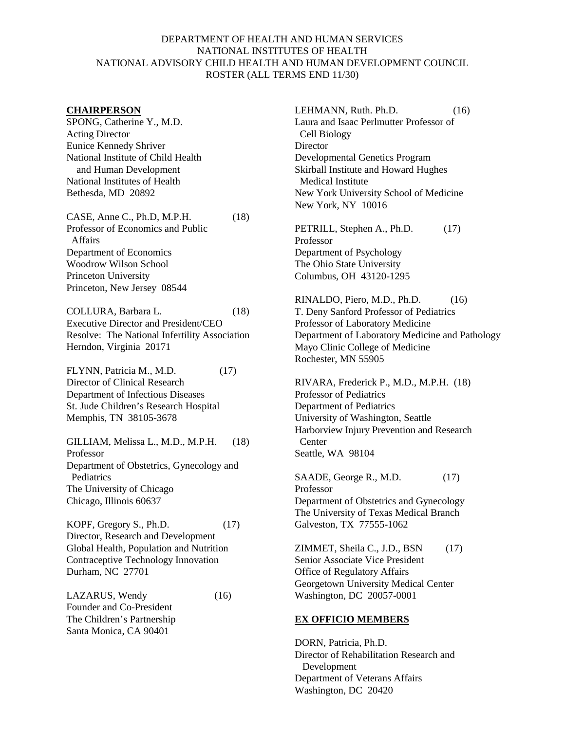## DEPARTMENT OF HEALTH AND HUMAN SERVICES NATIONAL INSTITUTES OF HEALTH NATIONAL ADVISORY CHILD HEALTH AND HUMAN DEVELOPMENT COUNCIL ROSTER (ALL TERMS END 11/30)

#### **CHAIRPERSON**

SPONG, Catherine Y., M.D. Acting Director Eunice Kennedy Shriver National Institute of Child Health and Human Development National Institutes of Health Bethesda, MD 20892

CASE, Anne C., Ph.D, M.P.H. (18) Professor of Economics and Public Affairs Department of Economics Woodrow Wilson School Princeton University Princeton, New Jersey 08544

COLLURA, Barbara L. (18) Executive Director and President/CEO Resolve: The National Infertility Association Herndon, Virginia 20171

FLYNN, Patricia M., M.D. (17) Director of Clinical Research Department of Infectious Diseases St. Jude Children's Research Hospital Memphis, TN 38105-3678

GILLIAM, Melissa L., M.D., M.P.H. (18) Professor Department of Obstetrics, Gynecology and Pediatrics The University of Chicago Chicago, Illinois 60637

KOPF, Gregory S., Ph.D. (17) Director, Research and Development Global Health, Population and Nutrition Contraceptive Technology Innovation Durham, NC 27701

LAZARUS, Wendy (16) Founder and Co-President The Children's Partnership Santa Monica, CA 90401

LEHMANN, Ruth. Ph.D. (16) Laura and Isaac Perlmutter Professor of Cell Biology **Director** Developmental Genetics Program Skirball Institute and Howard Hughes Medical Institute New York University School of Medicine New York, NY 10016

PETRILL, Stephen A., Ph.D. (17) Professor Department of Psychology The Ohio State University Columbus, OH 43120-1295

RINALDO, Piero, M.D., Ph.D. (16) T. Deny Sanford Professor of Pediatrics Professor of Laboratory Medicine Department of Laboratory Medicine and Pathology Mayo Clinic College of Medicine Rochester, MN 55905

RIVARA, Frederick P., M.D., M.P.H. (18) Professor of Pediatrics Department of Pediatrics University of Washington, Seattle Harborview Injury Prevention and Research Center Seattle, WA 98104

SAADE, George R., M.D. (17) Professor Department of Obstetrics and Gynecology The University of Texas Medical Branch Galveston, TX 77555-1062

ZIMMET, Sheila C., J.D., BSN  $(17)$ Senior Associate Vice President Office of Regulatory Affairs Georgetown University Medical Center Washington, DC 20057-0001

## **EX OFFICIO MEMBERS**

DORN, Patricia, Ph.D. Director of Rehabilitation Research and Development Department of Veterans Affairs Washington, DC 20420